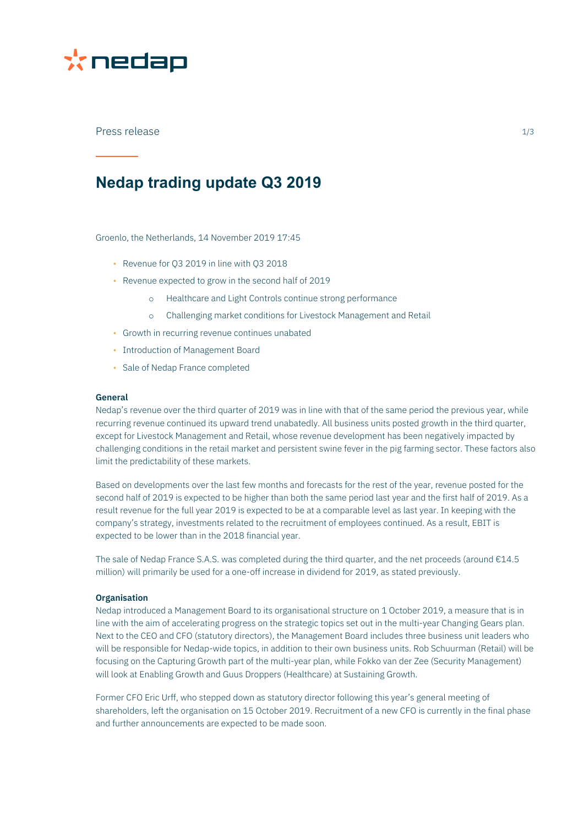

### Press release 1/3

## **Nedap trading update Q3 2019**

Groenlo, the Netherlands, 14 November 2019 17:45

- Revenue for Q3 2019 in line with Q3 2018
- Revenue expected to grow in the second half of 2019
	- o Healthcare and Light Controls continue strong performance
	- o Challenging market conditions for Livestock Management and Retail
- Growth in recurring revenue continues unabated
- Introduction of Management Board
- Sale of Nedap France completed

#### **General**

Nedap's revenue over the third quarter of 2019 was in line with that of the same period the previous year, while recurring revenue continued its upward trend unabatedly. All business units posted growth in the third quarter, except for Livestock Management and Retail, whose revenue development has been negatively impacted by challenging conditions in the retail market and persistent swine fever in the pig farming sector. These factors also limit the predictability of these markets.

Based on developments over the last few months and forecasts for the rest of the year, revenue posted for the second half of 2019 is expected to be higher than both the same period last year and the first half of 2019. As a result revenue for the full year 2019 is expected to be at a comparable level as last year. In keeping with the company's strategy, investments related to the recruitment of employees continued. As a result, EBIT is expected to be lower than in the 2018 financial year.

The sale of Nedap France S.A.S. was completed during the third quarter, and the net proceeds (around  $E14.5$ million) will primarily be used for a one-off increase in dividend for 2019, as stated previously.

#### **Organisation**

Nedap introduced a Management Board to its organisational structure on 1 October 2019, a measure that is in line with the aim of accelerating progress on the strategic topics set out in the multi-year Changing Gears plan. Next to the CEO and CFO (statutory directors), the Management Board includes three business unit leaders who will be responsible for Nedap-wide topics, in addition to their own business units. Rob Schuurman (Retail) will be focusing on the Capturing Growth part of the multi-year plan, while Fokko van der Zee (Security Management) will look at Enabling Growth and Guus Droppers (Healthcare) at Sustaining Growth.

Former CFO Eric Urff, who stepped down as statutory director following this year's general meeting of shareholders, left the organisation on 15 October 2019. Recruitment of a new CFO is currently in the final phase and further announcements are expected to be made soon.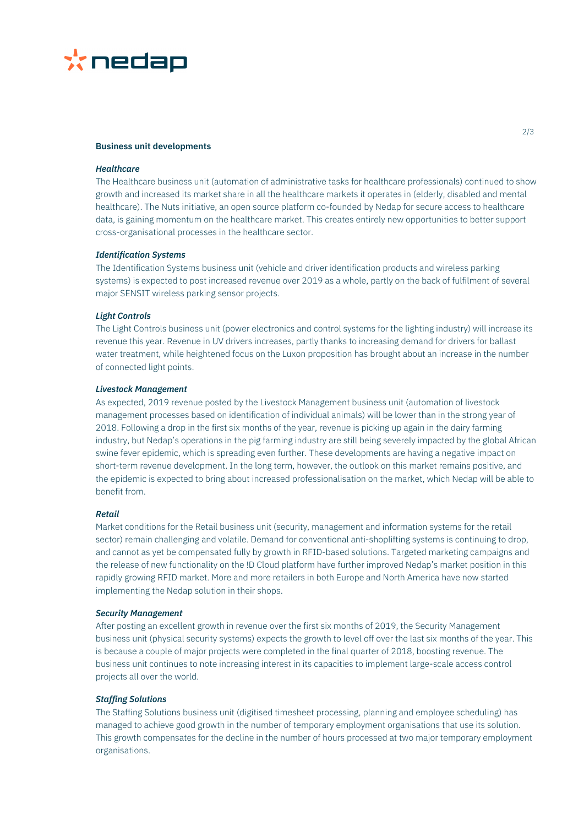

#### **Business unit developments**

#### *Healthcare*

The Healthcare business unit (automation of administrative tasks for healthcare professionals) continued to show growth and increased its market share in all the healthcare markets it operates in (elderly, disabled and mental healthcare). The Nuts initiative, an open source platform co-founded by Nedap for secure access to healthcare data, is gaining momentum on the healthcare market. This creates entirely new opportunities to better support cross-organisational processes in the healthcare sector.

#### *Identification Systems*

The Identification Systems business unit (vehicle and driver identification products and wireless parking systems) is expected to post increased revenue over 2019 as a whole, partly on the back of fulfilment of several major SENSIT wireless parking sensor projects.

#### *Light Controls*

The Light Controls business unit (power electronics and control systems for the lighting industry) will increase its revenue this year. Revenue in UV drivers increases, partly thanks to increasing demand for drivers for ballast water treatment, while heightened focus on the Luxon proposition has brought about an increase in the number of connected light points.

#### *Livestock Management*

As expected, 2019 revenue posted by the Livestock Management business unit (automation of livestock management processes based on identification of individual animals) will be lower than in the strong year of 2018. Following a drop in the first six months of the year, revenue is picking up again in the dairy farming industry, but Nedap's operations in the pig farming industry are still being severely impacted by the global African swine fever epidemic, which is spreading even further. These developments are having a negative impact on short-term revenue development. In the long term, however, the outlook on this market remains positive, and the epidemic is expected to bring about increased professionalisation on the market, which Nedap will be able to benefit from.

#### *Retail*

Market conditions for the Retail business unit (security, management and information systems for the retail sector) remain challenging and volatile. Demand for conventional anti-shoplifting systems is continuing to drop, and cannot as yet be compensated fully by growth in RFID-based solutions. Targeted marketing campaigns and the release of new functionality on the !D Cloud platform have further improved Nedap's market position in this rapidly growing RFID market. More and more retailers in both Europe and North America have now started implementing the Nedap solution in their shops.

#### *Security Management*

After posting an excellent growth in revenue over the first six months of 2019, the Security Management business unit (physical security systems) expects the growth to level off over the last six months of the year. This is because a couple of major projects were completed in the final quarter of 2018, boosting revenue. The business unit continues to note increasing interest in its capacities to implement large-scale access control projects all over the world.

#### *Staffing Solutions*

The Staffing Solutions business unit (digitised timesheet processing, planning and employee scheduling) has managed to achieve good growth in the number of temporary employment organisations that use its solution. This growth compensates for the decline in the number of hours processed at two major temporary employment organisations.